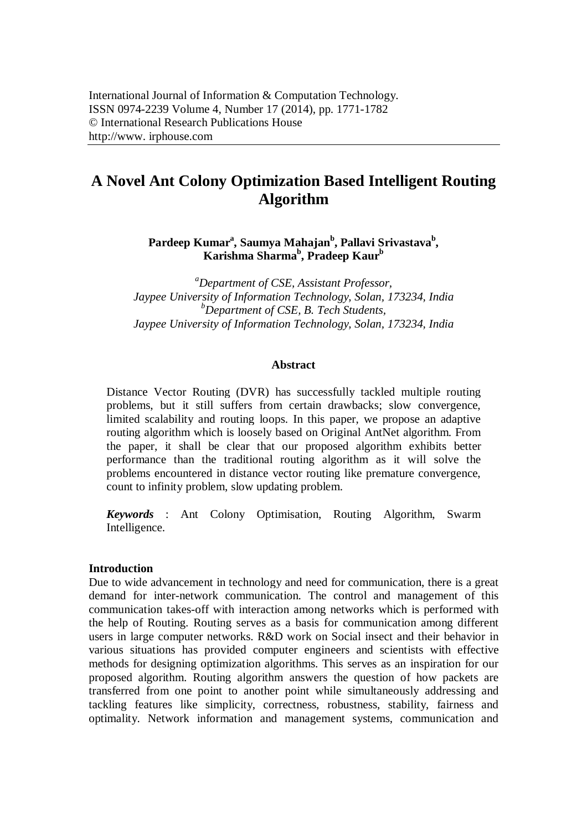# **A Novel Ant Colony Optimization Based Intelligent Routing Algorithm**

**Pardeep Kumar<sup>a</sup> , Saumya Mahajan<sup>b</sup> , Pallavi Srivastava<sup>b</sup> , Karishma Sharma<sup>b</sup> , Pradeep Kaur<sup>b</sup>**

*<sup>a</sup>Department of CSE, Assistant Professor, Jaypee University of Information Technology, Solan, 173234, India <sup>b</sup>Department of CSE, B. Tech Students, Jaypee University of Information Technology, Solan, 173234, India*

#### **Abstract**

Distance Vector Routing (DVR) has successfully tackled multiple routing problems, but it still suffers from certain drawbacks; slow convergence, limited scalability and routing loops. In this paper, we propose an adaptive routing algorithm which is loosely based on Original AntNet algorithm. From the paper, it shall be clear that our proposed algorithm exhibits better performance than the traditional routing algorithm as it will solve the problems encountered in distance vector routing like premature convergence, count to infinity problem, slow updating problem.

*Keywords* : Ant Colony Optimisation, Routing Algorithm, Swarm Intelligence.

## **Introduction**

Due to wide advancement in technology and need for communication, there is a great demand for inter-network communication. The control and management of this communication takes-off with interaction among networks which is performed with the help of Routing. Routing serves as a basis for communication among different users in large computer networks. R&D work on Social insect and their behavior in various situations has provided computer engineers and scientists with effective methods for designing optimization algorithms. This serves as an inspiration for our proposed algorithm. Routing algorithm answers the question of how packets are transferred from one point to another point while simultaneously addressing and tackling features like simplicity, correctness, robustness, stability, fairness and optimality. Network information and management systems, communication and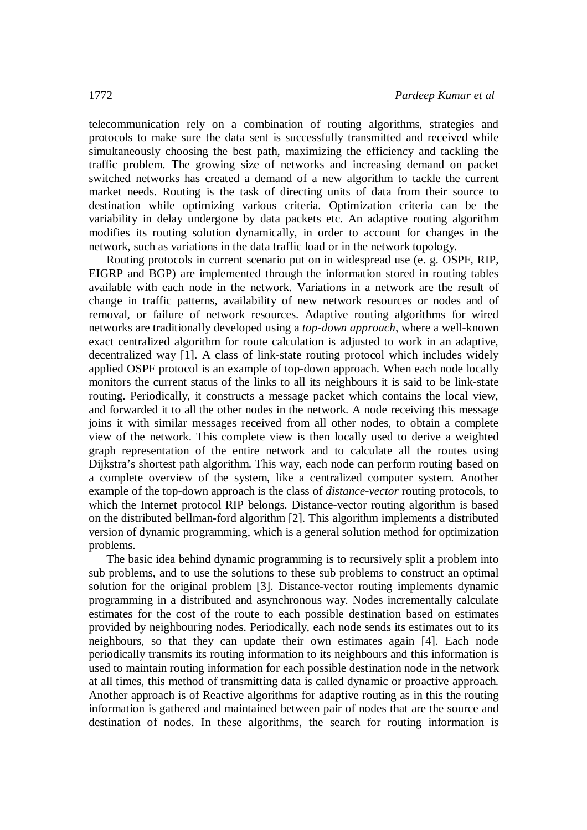telecommunication rely on a combination of routing algorithms, strategies and protocols to make sure the data sent is successfully transmitted and received while simultaneously choosing the best path, maximizing the efficiency and tackling the traffic problem. The growing size of networks and increasing demand on packet switched networks has created a demand of a new algorithm to tackle the current market needs. Routing is the task of directing units of data from their source to destination while optimizing various criteria. Optimization criteria can be the variability in delay undergone by data packets etc. An adaptive routing algorithm modifies its routing solution dynamically, in order to account for changes in the network, such as variations in the data traffic load or in the network topology.

Routing protocols in current scenario put on in widespread use (e. g. OSPF, RIP, EIGRP and BGP) are implemented through the information stored in routing tables available with each node in the network. Variations in a network are the result of change in traffic patterns, availability of new network resources or nodes and of removal, or failure of network resources. Adaptive routing algorithms for wired networks are traditionally developed using a *top-down approach*, where a well-known exact centralized algorithm for route calculation is adjusted to work in an adaptive, decentralized way [1]. A class of link-state routing protocol which includes widely applied OSPF protocol is an example of top-down approach. When each node locally monitors the current status of the links to all its neighbours it is said to be link-state routing. Periodically, it constructs a message packet which contains the local view, and forwarded it to all the other nodes in the network. A node receiving this message joins it with similar messages received from all other nodes, to obtain a complete view of the network. This complete view is then locally used to derive a weighted graph representation of the entire network and to calculate all the routes using Dijkstra's shortest path algorithm. This way, each node can perform routing based on a complete overview of the system, like a centralized computer system. Another example of the top-down approach is the class of *distance-vector* routing protocols, to which the Internet protocol RIP belongs. Distance-vector routing algorithm is based on the distributed bellman-ford algorithm [2]. This algorithm implements a distributed version of dynamic programming, which is a general solution method for optimization problems.

The basic idea behind dynamic programming is to recursively split a problem into sub problems, and to use the solutions to these sub problems to construct an optimal solution for the original problem [3]. Distance-vector routing implements dynamic programming in a distributed and asynchronous way. Nodes incrementally calculate estimates for the cost of the route to each possible destination based on estimates provided by neighbouring nodes. Periodically, each node sends its estimates out to its neighbours, so that they can update their own estimates again [4]. Each node periodically transmits its routing information to its neighbours and this information is used to maintain routing information for each possible destination node in the network at all times, this method of transmitting data is called dynamic or proactive approach. Another approach is of Reactive algorithms for adaptive routing as in this the routing information is gathered and maintained between pair of nodes that are the source and destination of nodes. In these algorithms, the search for routing information is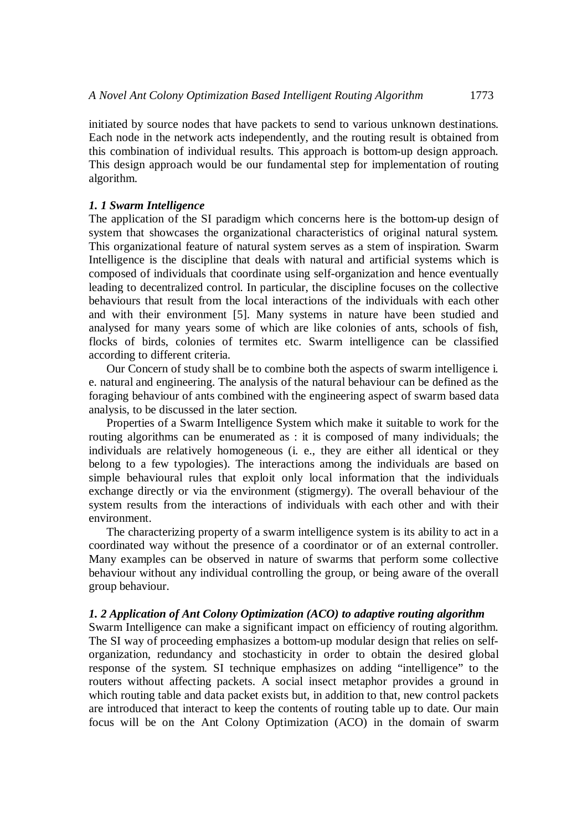initiated by source nodes that have packets to send to various unknown destinations. Each node in the network acts independently, and the routing result is obtained from this combination of individual results. This approach is bottom-up design approach. This design approach would be our fundamental step for implementation of routing algorithm.

## *1. 1 Swarm Intelligence*

The application of the SI paradigm which concerns here is the bottom-up design of system that showcases the organizational characteristics of original natural system. This organizational feature of natural system serves as a stem of inspiration. Swarm Intelligence is the discipline that deals with natural and artificial systems which is composed of individuals that coordinate using self-organization and hence eventually leading to decentralized control. In particular, the discipline focuses on the collective behaviours that result from the local interactions of the individuals with each other and with their environment [5]. Many systems in nature have been studied and analysed for many years some of which are like colonies of ants, schools of fish, flocks of birds, colonies of termites etc. Swarm intelligence can be classified according to different criteria.

Our Concern of study shall be to combine both the aspects of swarm intelligence i. e. natural and engineering. The analysis of the natural behaviour can be defined as the foraging behaviour of ants combined with the engineering aspect of swarm based data analysis, to be discussed in the later section.

Properties of a Swarm Intelligence System which make it suitable to work for the routing algorithms can be enumerated as : it is composed of many individuals; the individuals are relatively homogeneous (i. e., they are either all identical or they belong to a few typologies). The interactions among the individuals are based on simple behavioural rules that exploit only local information that the individuals exchange directly or via the environment (stigmergy). The overall behaviour of the system results from the interactions of individuals with each other and with their environment.

The characterizing property of a swarm intelligence system is its ability to act in a coordinated way without the presence of a coordinator or of an external controller. Many examples can be observed in nature of swarms that perform some collective behaviour without any individual controlling the group, or being aware of the overall group behaviour.

# *1. 2 Application of Ant Colony Optimization (ACO) to adaptive routing algorithm*

Swarm Intelligence can make a significant impact on efficiency of routing algorithm. The SI way of proceeding emphasizes a bottom-up modular design that relies on selforganization, redundancy and stochasticity in order to obtain the desired global response of the system. SI technique emphasizes on adding "intelligence" to the routers without affecting packets. A social insect metaphor provides a ground in which routing table and data packet exists but, in addition to that, new control packets are introduced that interact to keep the contents of routing table up to date. Our main focus will be on the Ant Colony Optimization (ACO) in the domain of swarm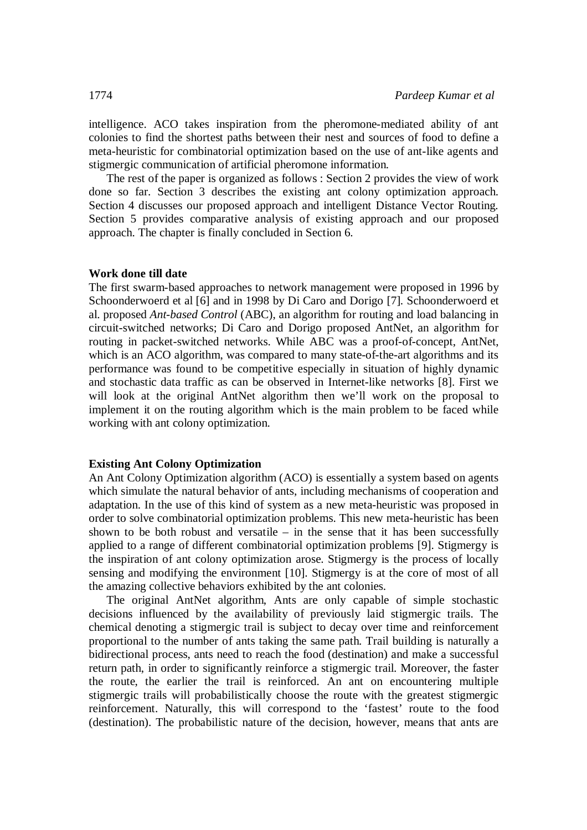intelligence. ACO takes inspiration from the pheromone-mediated ability of ant colonies to find the shortest paths between their nest and sources of food to define a meta-heuristic for combinatorial optimization based on the use of ant-like agents and stigmergic communication of artificial pheromone information.

The rest of the paper is organized as follows : Section 2 provides the view of work done so far. Section 3 describes the existing ant colony optimization approach. Section 4 discusses our proposed approach and intelligent Distance Vector Routing. Section 5 provides comparative analysis of existing approach and our proposed approach. The chapter is finally concluded in Section 6.

#### **Work done till date**

The first swarm-based approaches to network management were proposed in 1996 by Schoonderwoerd et al [6] and in 1998 by Di Caro and Dorigo [7]. Schoonderwoerd et al. proposed *Ant-based Control* (ABC), an algorithm for routing and load balancing in circuit-switched networks; Di Caro and Dorigo proposed AntNet, an algorithm for routing in packet-switched networks. While ABC was a proof-of-concept, AntNet, which is an ACO algorithm, was compared to many state-of-the-art algorithms and its performance was found to be competitive especially in situation of highly dynamic and stochastic data traffic as can be observed in Internet-like networks [8]. First we will look at the original AntNet algorithm then we'll work on the proposal to implement it on the routing algorithm which is the main problem to be faced while working with ant colony optimization.

## **Existing Ant Colony Optimization**

An Ant Colony Optimization algorithm (ACO) is essentially a system based on agents which simulate the natural behavior of ants, including mechanisms of cooperation and adaptation. In the use of this kind of system as a new meta-heuristic was proposed in order to solve combinatorial optimization problems. This new meta-heuristic has been shown to be both robust and versatile  $-$  in the sense that it has been successfully applied to a range of different combinatorial optimization problems [9]. Stigmergy is the inspiration of ant colony optimization arose. Stigmergy is the process of locally sensing and modifying the environment [10]. Stigmergy is at the core of most of all the amazing collective behaviors exhibited by the ant colonies.

The original AntNet algorithm, Ants are only capable of simple stochastic decisions influenced by the availability of previously laid stigmergic trails. The chemical denoting a stigmergic trail is subject to decay over time and reinforcement proportional to the number of ants taking the same path. Trail building is naturally a bidirectional process, ants need to reach the food (destination) and make a successful return path, in order to significantly reinforce a stigmergic trail. Moreover, the faster the route, the earlier the trail is reinforced. An ant on encountering multiple stigmergic trails will probabilistically choose the route with the greatest stigmergic reinforcement. Naturally, this will correspond to the 'fastest' route to the food (destination). The probabilistic nature of the decision, however, means that ants are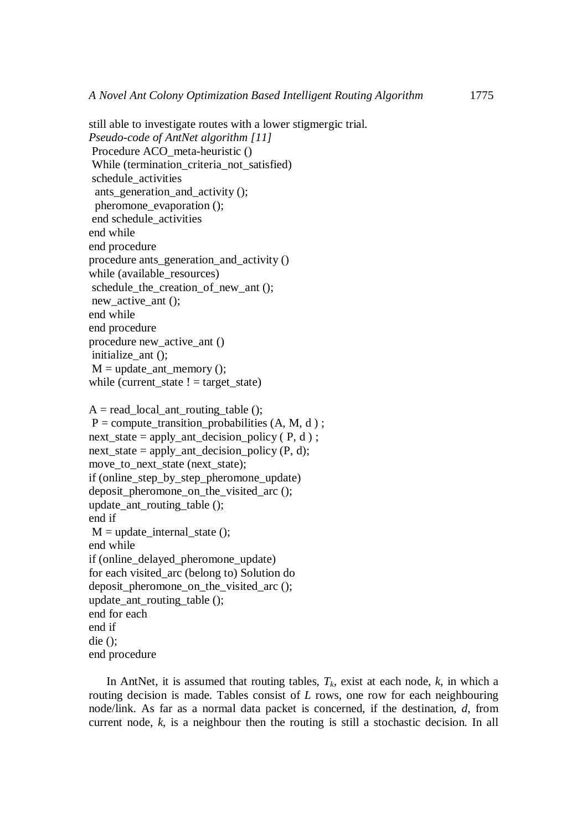still able to investigate routes with a lower stigmergic trial. *Pseudo-code of AntNet algorithm [11]* Procedure ACO\_meta-heuristic () While (termination\_criteria\_not\_satisfied) schedule activities ants generation and activity  $()$ ; pheromone\_evaporation (); end schedule\_activities end while end procedure procedure ants\_generation\_and\_activity () while (available\_resources) schedule the creation of new ant  $()$ ; new active ant (); end while end procedure procedure new\_active\_ant () initialize ant ();  $M =$  update ant memory (); while (current\_state  $!=$  target\_state)  $A = read local$  ant routing table ();  $P =$  compute transition probabilities (A, M, d); next state = apply ant decision policy ( $P, d$ ); next state = apply ant decision policy (P, d); move\_to\_next\_state (next\_state); if (online\_step\_by\_step\_pheromone\_update) deposit pheromone on the visited arc (); update ant routing table  $()$ ; end if  $M = update\_internal\_state()$ ; end while

if (online\_delayed\_pheromone\_update) for each visited\_arc (belong to) Solution do deposit\_pheromone\_on\_the\_visited\_arc (); update ant routing table  $()$ ; end for each end if die ();

end procedure

In AntNet, it is assumed that routing tables, *Tk*, exist at each node, *k*, in which a routing decision is made. Tables consist of *L* rows, one row for each neighbouring node/link. As far as a normal data packet is concerned, if the destination, *d*, from current node, *k*, is a neighbour then the routing is still a stochastic decision. In all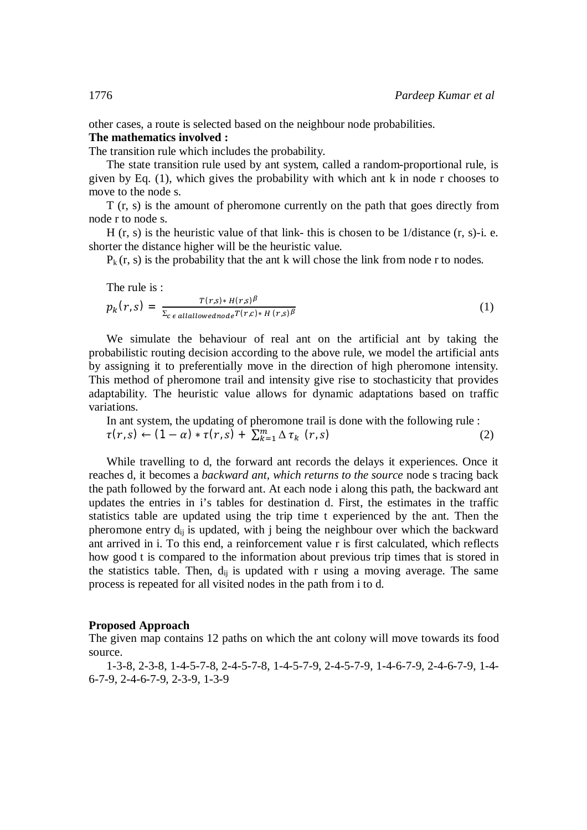other cases, a route is selected based on the neighbour node probabilities.

# **The mathematics involved :**

The transition rule which includes the probability.

The state transition rule used by ant system, called a random-proportional rule, is given by Eq. (1), which gives the probability with which ant k in node r chooses to move to the node s.

T (r, s) is the amount of pheromone currently on the path that goes directly from node r to node s.

H  $(r, s)$  is the heuristic value of that link- this is chosen to be 1/distance  $(r, s)$ -i. e. shorter the distance higher will be the heuristic value.

 $P_k(r, s)$  is the probability that the ant k will chose the link from node r to nodes.

The rule is :

$$
p_k(r,s) = \frac{T(r,s) * H(r,s)^\beta}{\sum_{c \in all allowednode} T(r,c) * H(r,s)^\beta}
$$
(1)

We simulate the behaviour of real ant on the artificial ant by taking the probabilistic routing decision according to the above rule, we model the artificial ants by assigning it to preferentially move in the direction of high pheromone intensity. This method of pheromone trail and intensity give rise to stochasticity that provides adaptability. The heuristic value allows for dynamic adaptations based on traffic variations.

In ant system, the updating of pheromone trail is done with the following rule :  

$$
\tau(r,s) \leftarrow (1-\alpha) * \tau(r,s) + \sum_{k=1}^{m} \Delta \tau_k (r,s)
$$
 (2)

While travelling to d, the forward ant records the delays it experiences. Once it reaches d, it becomes a *backward ant, which returns to the source* node s tracing back the path followed by the forward ant. At each node i along this path, the backward ant updates the entries in i's tables for destination d. First, the estimates in the traffic statistics table are updated using the trip time t experienced by the ant. Then the pheromone entry  $d_{ii}$  is updated, with j being the neighbour over which the backward ant arrived in i. To this end, a reinforcement value r is first calculated, which reflects how good t is compared to the information about previous trip times that is stored in the statistics table. Then,  $d_{ij}$  is updated with r using a moving average. The same process is repeated for all visited nodes in the path from i to d.

#### **Proposed Approach**

The given map contains 12 paths on which the ant colony will move towards its food source.

1-3-8, 2-3-8, 1-4-5-7-8, 2-4-5-7-8, 1-4-5-7-9, 2-4-5-7-9, 1-4-6-7-9, 2-4-6-7-9, 1-4- 6-7-9, 2-4-6-7-9, 2-3-9, 1-3-9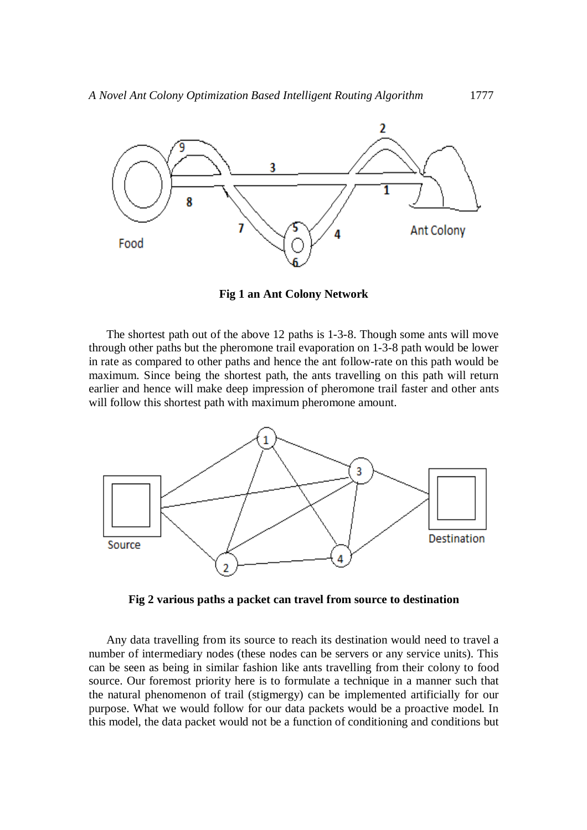

**Fig 1 an Ant Colony Network**

The shortest path out of the above 12 paths is 1-3-8. Though some ants will move through other paths but the pheromone trail evaporation on 1-3-8 path would be lower in rate as compared to other paths and hence the ant follow-rate on this path would be maximum. Since being the shortest path, the ants travelling on this path will return earlier and hence will make deep impression of pheromone trail faster and other ants will follow this shortest path with maximum pheromone amount.



**Fig 2 various paths a packet can travel from source to destination**

Any data travelling from its source to reach its destination would need to travel a number of intermediary nodes (these nodes can be servers or any service units). This can be seen as being in similar fashion like ants travelling from their colony to food source. Our foremost priority here is to formulate a technique in a manner such that the natural phenomenon of trail (stigmergy) can be implemented artificially for our purpose. What we would follow for our data packets would be a proactive model. In this model, the data packet would not be a function of conditioning and conditions but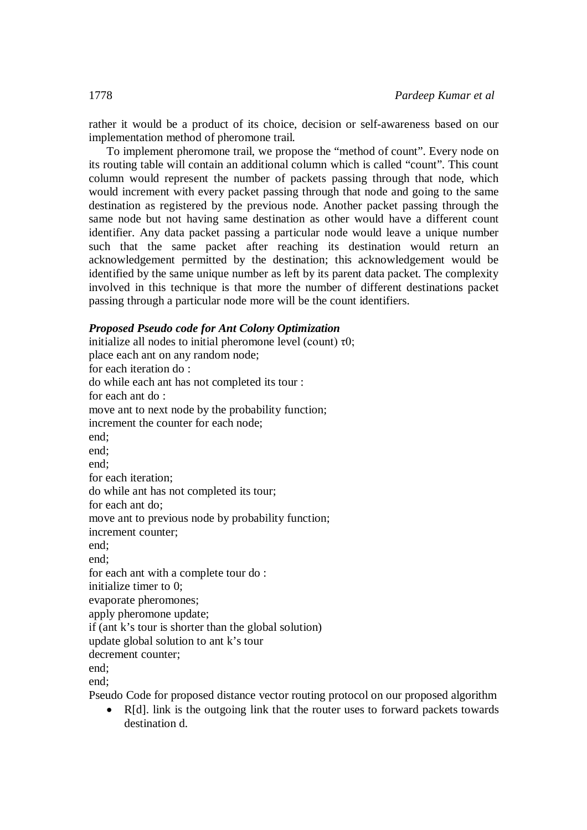rather it would be a product of its choice, decision or self-awareness based on our implementation method of pheromone trail.

To implement pheromone trail, we propose the "method of count". Every node on its routing table will contain an additional column which is called "count". This count column would represent the number of packets passing through that node, which would increment with every packet passing through that node and going to the same destination as registered by the previous node. Another packet passing through the same node but not having same destination as other would have a different count identifier. Any data packet passing a particular node would leave a unique number such that the same packet after reaching its destination would return an acknowledgement permitted by the destination; this acknowledgement would be identified by the same unique number as left by its parent data packet. The complexity involved in this technique is that more the number of different destinations packet passing through a particular node more will be the count identifiers.

# *Proposed Pseudo code for Ant Colony Optimization*

initialize all nodes to initial pheromone level (count)  $\tau$ 0; place each ant on any random node; for each iteration do : do while each ant has not completed its tour : for each ant do : move ant to next node by the probability function; increment the counter for each node; end; end; end; for each iteration; do while ant has not completed its tour; for each ant do; move ant to previous node by probability function; increment counter; end; end; for each ant with a complete tour do : initialize timer to 0; evaporate pheromones; apply pheromone update; if (ant k's tour is shorter than the global solution) update global solution to ant k's tour decrement counter; end; end;

Pseudo Code for proposed distance vector routing protocol on our proposed algorithm

 R[d]. link is the outgoing link that the router uses to forward packets towards destination d.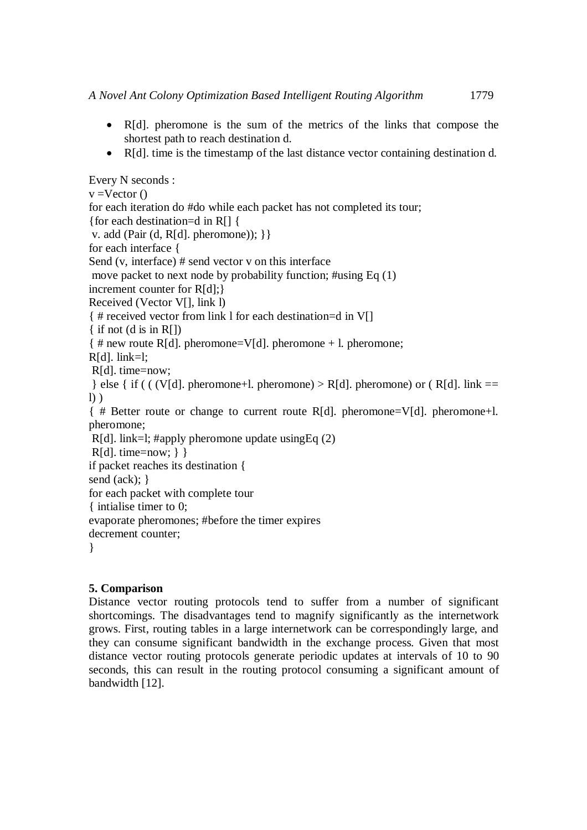- R[d]. pheromone is the sum of the metrics of the links that compose the shortest path to reach destination d.
- R[d]. time is the timestamp of the last distance vector containing destination d.

```
Every N seconds :
v = Vector()for each iteration do #do while each packet has not completed its tour;
{for each destination=d in R[] {
v. add (Pair (d, R[d]. pheromone)); }}
for each interface {
Send (v, interface) # send vector v on this interface 
move packet to next node by probability function; #using Eq (1)
increment counter for R[d];}
Received (Vector V[], link l)
{ # received vector from link l for each destination=d in V[]
\{ if not (d is in R[])
\{ \# new route R[d]. pheromone=V[d]. pheromone + l. pheromone;
R[d]. link=l:
R[d]. time=now;
\} else { if ( ( (V[d]. pheromone+l. pheromone) > R[d]. pheromone) or ( R[d]. link ==
l) )
{ # Better route or change to current route R[d]. pheromone=V[d]. pheromone+l. 
pheromone; 
R[d]. link=l; #apply pheromone update usingEq (2)
R[d]. time=now; } }
if packet reaches its destination {
send (ack); }
for each packet with complete tour
{ intialise timer to 0;
evaporate pheromones; #before the timer expires
decrement counter;
}
```
# **5. Comparison**

Distance vector routing protocols tend to suffer from a number of significant shortcomings. The disadvantages tend to magnify significantly as the internetwork grows. First, routing tables in a large internetwork can be correspondingly large, and they can consume significant bandwidth in the exchange process. Given that most distance vector routing protocols generate periodic updates at intervals of 10 to 90 seconds, this can result in the routing protocol consuming a significant amount of bandwidth [12].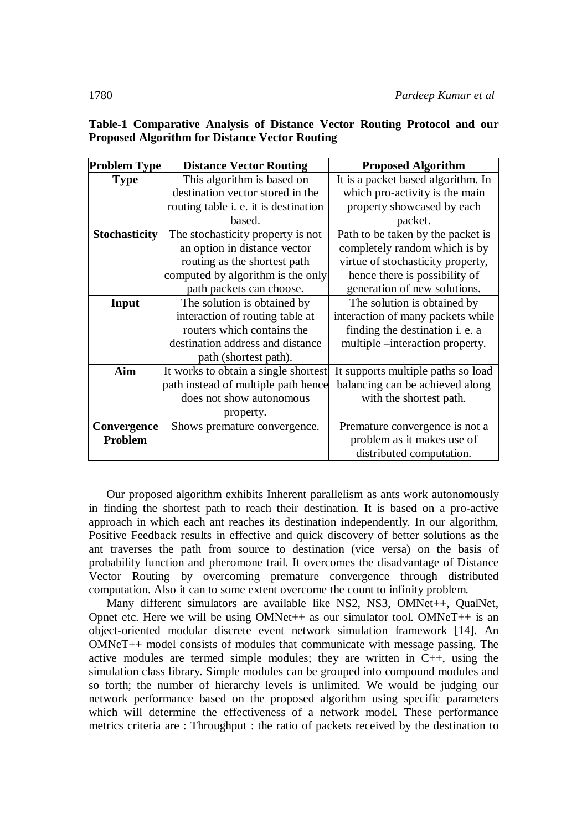| <b>Problem Type</b>  | <b>Distance Vector Routing</b>        | <b>Proposed Algorithm</b>          |
|----------------------|---------------------------------------|------------------------------------|
| <b>Type</b>          | This algorithm is based on            | It is a packet based algorithm. In |
|                      | destination vector stored in the      | which pro-activity is the main     |
|                      | routing table i. e. it is destination | property showcased by each         |
|                      | based.                                | packet.                            |
| <b>Stochasticity</b> | The stochasticity property is not     | Path to be taken by the packet is  |
|                      | an option in distance vector          | completely random which is by      |
|                      | routing as the shortest path          | virtue of stochasticity property,  |
|                      | computed by algorithm is the only     | hence there is possibility of      |
|                      | path packets can choose.              | generation of new solutions.       |
| Input                | The solution is obtained by           | The solution is obtained by        |
|                      | interaction of routing table at       | interaction of many packets while  |
|                      | routers which contains the            | finding the destination i. e. a    |
|                      | destination address and distance      | multiple –interaction property.    |
|                      | path (shortest path).                 |                                    |
| Aim                  | It works to obtain a single shortest  | It supports multiple paths so load |
|                      | path instead of multiple path hence   | balancing can be achieved along    |
|                      | does not show autonomous              | with the shortest path.            |
|                      | property.                             |                                    |
| Convergence          | Shows premature convergence.          | Premature convergence is not a     |
| Problem              |                                       | problem as it makes use of         |
|                      |                                       | distributed computation.           |

**Table-1 Comparative Analysis of Distance Vector Routing Protocol and our Proposed Algorithm for Distance Vector Routing**

Our proposed algorithm exhibits Inherent parallelism as ants work autonomously in finding the shortest path to reach their destination. It is based on a pro-active approach in which each ant reaches its destination independently. In our algorithm, Positive Feedback results in effective and quick discovery of better solutions as the ant traverses the path from source to destination (vice versa) on the basis of probability function and pheromone trail. It overcomes the disadvantage of Distance Vector Routing by overcoming premature convergence through distributed computation. Also it can to some extent overcome the count to infinity problem.

Many different simulators are available like NS2, NS3, OMNet++, QualNet, Opnet etc. Here we will be using  $OMNet++$  as our simulator tool.  $OMNeT++$  is an object-oriented modular discrete event network simulation framework [14]. An OMNeT++ model consists of modules that communicate with message passing. The active modules are termed simple modules; they are written in C++, using the simulation class library. Simple modules can be grouped into compound modules and so forth; the number of hierarchy levels is unlimited. We would be judging our network performance based on the proposed algorithm using specific parameters which will determine the effectiveness of a network model. These performance metrics criteria are : Throughput : the ratio of packets received by the destination to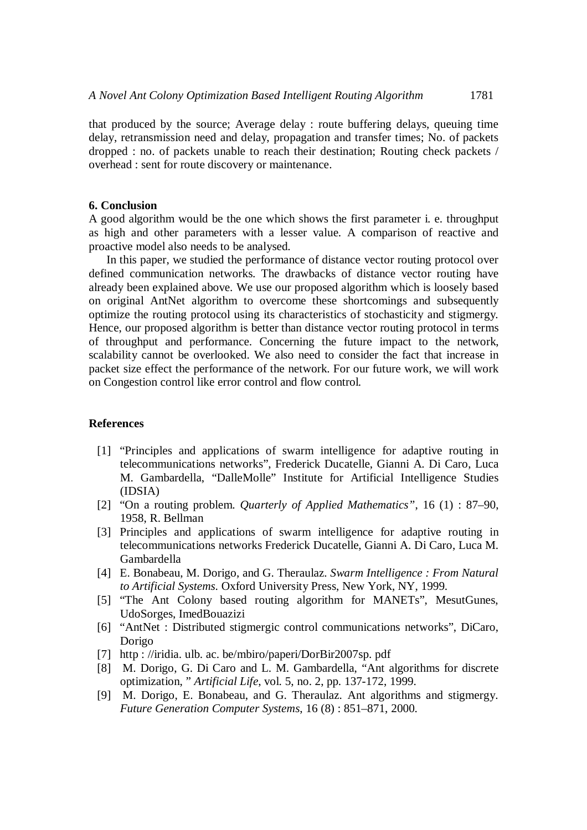that produced by the source; Average delay : route buffering delays, queuing time delay, retransmission need and delay, propagation and transfer times; No. of packets dropped : no. of packets unable to reach their destination; Routing check packets / overhead : sent for route discovery or maintenance.

#### **6. Conclusion**

A good algorithm would be the one which shows the first parameter i. e. throughput as high and other parameters with a lesser value. A comparison of reactive and proactive model also needs to be analysed.

In this paper, we studied the performance of distance vector routing protocol over defined communication networks. The drawbacks of distance vector routing have already been explained above. We use our proposed algorithm which is loosely based on original AntNet algorithm to overcome these shortcomings and subsequently optimize the routing protocol using its characteristics of stochasticity and stigmergy. Hence, our proposed algorithm is better than distance vector routing protocol in terms of throughput and performance. Concerning the future impact to the network, scalability cannot be overlooked. We also need to consider the fact that increase in packet size effect the performance of the network. For our future work, we will work on Congestion control like error control and flow control.

#### **References**

- [1] "Principles and applications of swarm intelligence for adaptive routing in telecommunications networks", Frederick Ducatelle, Gianni A. Di Caro, Luca M. Gambardella, "DalleMolle" Institute for Artificial Intelligence Studies (IDSIA)
- [2] "On a routing problem. *Quarterly of Applied Mathematics"*, 16 (1) : 87–90, 1958, R. Bellman
- [3] Principles and applications of swarm intelligence for adaptive routing in telecommunications networks Frederick Ducatelle, Gianni A. Di Caro, Luca M. Gambardella
- [4] E. Bonabeau, M. Dorigo, and G. Theraulaz. *Swarm Intelligence : From Natural to Artificial Systems*. Oxford University Press, New York, NY, 1999.
- [5] "The Ant Colony based routing algorithm for MANETs", MesutGunes, UdoSorges, ImedBouazizi
- [6] "AntNet : Distributed stigmergic control communications networks", DiCaro, Dorigo
- [7] http : //iridia. ulb. ac. be/mbiro/paperi/DorBir2007sp. pdf
- [8] M. Dorigo, G. Di Caro and L. M. Gambardella, "Ant algorithms for discrete optimization, " *Artificial Life*, vol. 5, no. 2, pp. 137-172, 1999.
- [9] M. Dorigo, E. Bonabeau, and G. Theraulaz. Ant algorithms and stigmergy. *Future Generation Computer Systems*, 16 (8) : 851–871, 2000.